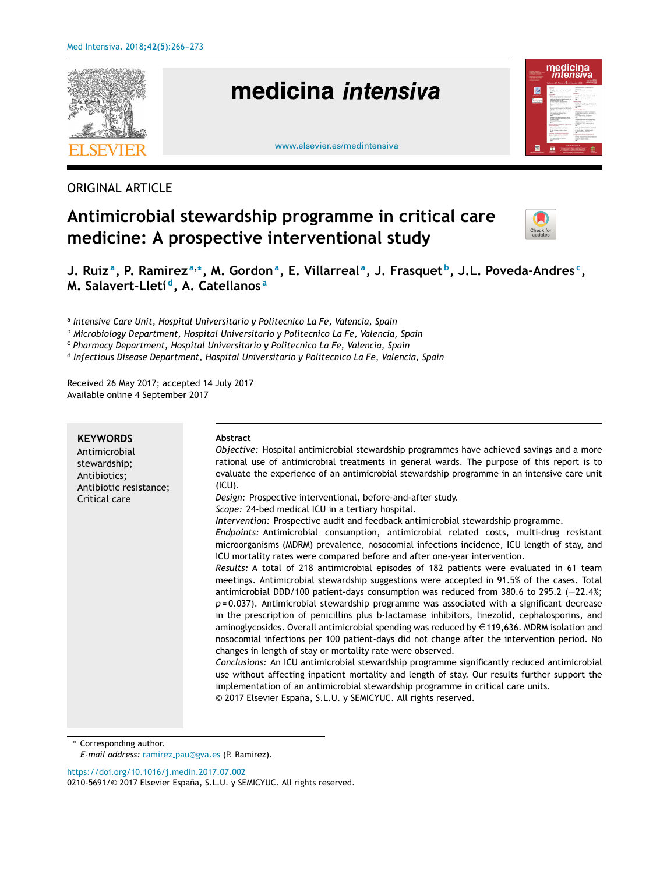

# ORIGINAL ARTICLE

# **Antimicrobial stewardship programme in critical care medicine: A prospective interventional study**



J. Ruizª, P. Ramirezª,\*, M. Gordonª, E. Villarrealª, J. Frasquetʰ, J.L. Poveda-Andres<sup>c</sup>, **M. Salavert-Lletí <sup>d</sup> , A. Catellanos <sup>a</sup>**

a *Intensive Care Unit, Hospital Universitario y Politecnico La Fe, Valencia, Spain*

<sup>b</sup> *Microbiology Department, Hospital Universitario y Politecnico La Fe, Valencia, Spain*

<sup>c</sup> *Pharmacy Department, Hospital Universitario y Politecnico La Fe, Valencia, Spain*

d *Infectious Disease Department, Hospital Universitario y Politecnico La Fe, Valencia, Spain*

Received 26 May 2017; accepted 14 July 2017 Available online 4 September 2017

| <b>KEYWORDS</b><br>Antimicrobial<br>stewardship;<br>Antibiotics;<br>Antibiotic resistance;<br>Critical care | Abstract<br>Objective: Hospital antimicrobial stewardship programmes have achieved savings and a more<br>rational use of antimicrobial treatments in general wards. The purpose of this report is to<br>evaluate the experience of an antimicrobial stewardship programme in an intensive care unit<br>$(ICU)$ .<br>Design: Prospective interventional, before-and-after study.<br>Scope: 24-bed medical ICU in a tertiary hospital.<br>Intervention: Prospective audit and feedback antimicrobial stewardship programme.<br>Endpoints: Antimicrobial consumption, antimicrobial related costs, multi-drug resistant<br>microorganisms (MDRM) prevalence, nosocomial infections incidence, ICU length of stay, and<br>ICU mortality rates were compared before and after one-year intervention.<br>Results: A total of 218 antimicrobial episodes of 182 patients were evaluated in 61 team<br>meetings. Antimicrobial stewardship suggestions were accepted in 91.5% of the cases. Total<br>antimicrobial DDD/100 patient-days consumption was reduced from 380.6 to 295.2 $(-22.4\%)$<br>$p = 0.037$ ). Antimicrobial stewardship programme was associated with a significant decrease<br>in the prescription of penicillins plus b-lactamase inhibitors, linezolid, cephalosporins, and<br>aminoglycosides. Overall antimicrobial spending was reduced by $\in$ 119,636. MDRM isolation and<br>nosocomial infections per 100 patient-days did not change after the intervention period. No<br>changes in length of stay or mortality rate were observed.<br>Conclusions: An ICU antimicrobial stewardship programme significantly reduced antimicrobial<br>use without affecting inpatient mortality and length of stay. Our results further support the |
|-------------------------------------------------------------------------------------------------------------|-------------------------------------------------------------------------------------------------------------------------------------------------------------------------------------------------------------------------------------------------------------------------------------------------------------------------------------------------------------------------------------------------------------------------------------------------------------------------------------------------------------------------------------------------------------------------------------------------------------------------------------------------------------------------------------------------------------------------------------------------------------------------------------------------------------------------------------------------------------------------------------------------------------------------------------------------------------------------------------------------------------------------------------------------------------------------------------------------------------------------------------------------------------------------------------------------------------------------------------------------------------------------------------------------------------------------------------------------------------------------------------------------------------------------------------------------------------------------------------------------------------------------------------------------------------------------------------------------------------------------------------------------------------------------------------------------------------------------------------------------------------|
|                                                                                                             | implementation of an antimicrobial stewardship programme in critical care units.<br>© 2017 Elsevier España, S.L.U. y SEMICYUC. All rights reserved.                                                                                                                                                                                                                                                                                                                                                                                                                                                                                                                                                                                                                                                                                                                                                                                                                                                                                                                                                                                                                                                                                                                                                                                                                                                                                                                                                                                                                                                                                                                                                                                                         |

<sup>∗</sup> Corresponding author.

*E-mail address:* ramirez [pau@gva.es](mailto:ramirez_pau@gva.es) (P. Ramirez).

<https://doi.org/10.1016/j.medin.2017.07.002>

0210-5691/© 2017 Elsevier España, S.L.U. y SEMICYUC. All rights reserved.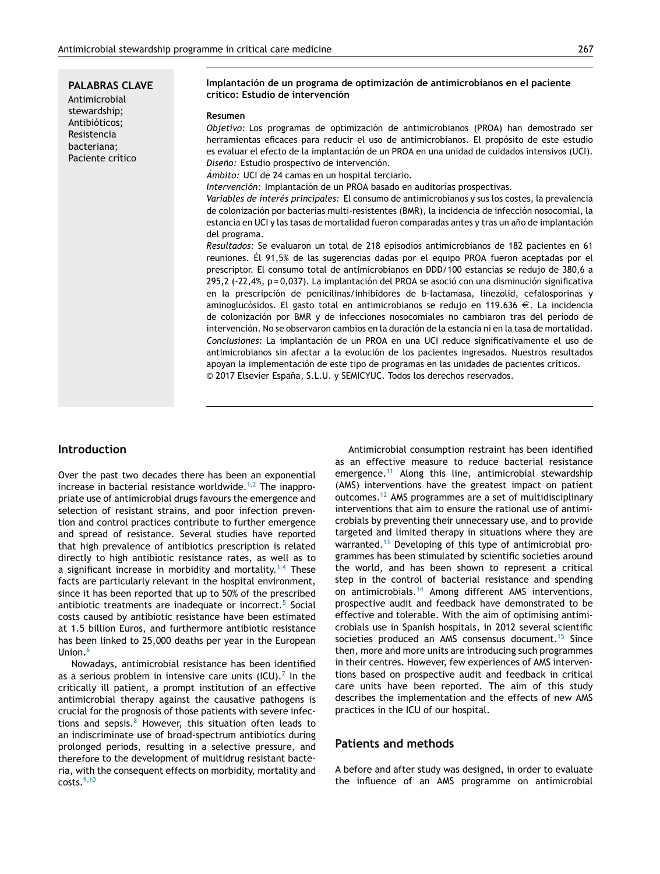**PALABRAS CLAVE** Antimicrobial stewardship; Antibióticos; Resistencia bacteriana;

Paciente crítico

#### **Implantación de un programa de optimización de antimicrobianos en el paciente crítico: Estudio de intervención**

#### **Resumen**

*Objetivo:* Los programas de optimización de antimicrobianos (PROA) han demostrado ser herramientas eficaces para reducir el uso de antimicrobianos. El propósito de este estudio es evaluar el efecto de la implantación de un PROA en una unidad de cuidados intensivos (UCI). *Diseno: ˜* Estudio prospectivo de intervención.

*Ámbito:* UCI de 24 camas en un hospital terciario.

*Intervención:* Implantación de un PROA basado en auditorías prospectivas.

*Variables de interés principales:* El consumo de antimicrobianos y sus los costes, la prevalencia de colonización por bacterias multi-resistentes (BMR), la incidencia de infección nosocomial, la estancia en UCI y las tasas de mortalidad fueron comparadas antes y tras un año de implantación del programa.

*Resultados:* Se evaluaron un total de 218 episodios antimicrobianos de 182 pacientes en 61 reuniones. Él 91,5% de las sugerencias dadas por el equipo PROA fueron aceptadas por el prescriptor. El consumo total de antimicrobianos en DDD/100 estancias se redujo de 380,6 a 295,2 (-22,4%, p = 0,037). La implantación del PROA se asoció con una disminución significativa en la prescripción de penicilinas/inhibidores de b-lactamasa, linezolid, cefalosporinas y aminoglucósidos. El gasto total en antimicrobianos se redujo en 119.636  $\epsilon$ . La incidencia de colonización por BMR y de infecciones nosocomiales no cambiaron tras del período de intervención. No se observaron cambios en la duración de la estancia ni en la tasa de mortalidad. *Conclusiones:* La implantación de un PROA en una UCI reduce significativamente el uso de antimicrobianos sin afectar a la evolución de los pacientes ingresados. Nuestros resultados apoyan la implementación de este tipo de programas en las unidades de pacientes críticos. © 2017 Elsevier España, S.L.U. y SEMICYUC. Todos los derechos reservados.

# **Introduction**

Over the past two decades there has been an exponential increase in bacterial resistance worldwide.<sup>[1,2](#page-6-0)</sup> The inappropriate use of antimicrobial drugs favours the emergence and selection of resistant strains, and poor infection prevention and control practices contribute to further emergence and spread of resistance. Several studies have reported that high prevalence of antibiotics prescription is related directly to high antibiotic resistance rates, as well as to a significant increase in morbidity and mortality.<sup>[3,4](#page-6-0)</sup> These facts are particularly relevant in the hospital environment, since it has been reported that up to 50% of the prescribed antibiotic treatments are inadequate or incorrect.<sup>[5](#page-6-0)</sup> Social costs caused by antibiotic resistance have been estimated at 1.5 billion Euros, and furthermore antibiotic resistance has been linked to 25,000 deaths per year in the European Union.<sup>[6](#page-6-0)</sup>

Nowadays, antimicrobial resistance has been identified as a serious problem in intensive care units (ICU).<sup>[7](#page-6-0)</sup> In the critically ill patient, a prompt institution of an effective antimicrobial therapy against the causative pathogens is crucial for the prognosis of those patients with severe infections and sepsis. $8$  However, this situation often leads to an indiscriminate use of broad-spectrum antibiotics during prolonged periods, resulting in a selective pressure, and therefore to the development of multidrug resistant bacteria, with the consequent effects on morbidity, mortality and  $costs.<sup>9,10</sup>$  $costs.<sup>9,10</sup>$  $costs.<sup>9,10</sup>$ 

Antimicrobial consumption restraint has been identified as an effective measure to reduce bacterial resistance emergence.[11](#page-6-0) Along this line, antimicrobial stewardship (AMS) interventions have the greatest impact on patient outcomes.[12](#page-6-0) AMS programmes are a set of multidisciplinary interventions that aim to ensure the rational use of antimicrobials by preventing their unnecessary use, and to provide targeted and limited therapy in situations where they are warranted.[13](#page-6-0) Developing of this type of antimicrobial programmes has been stimulated by scientific societies around the world, and has been shown to represent a critical step in the control of bacterial resistance and spending on antimicrobials.[14](#page-6-0) Among different AMS interventions, prospective audit and feedback have demonstrated to be effective and tolerable. With the aim of optimising antimicrobials use in Spanish hospitals, in 2012 several scientific societies produced an AMS consensus document.<sup>[15](#page-6-0)</sup> Since then, more and more units are introducing such programmes in their centres. However, few experiences of AMS interventions based on prospective audit and feedback in critical care units have been reported. The aim of this study describes the implementation and the effects of new AMS practices in the ICU of our hospital.

# **Patients and methods**

A before and after study was designed, in order to evaluate the influence of an AMS programme on antimicrobial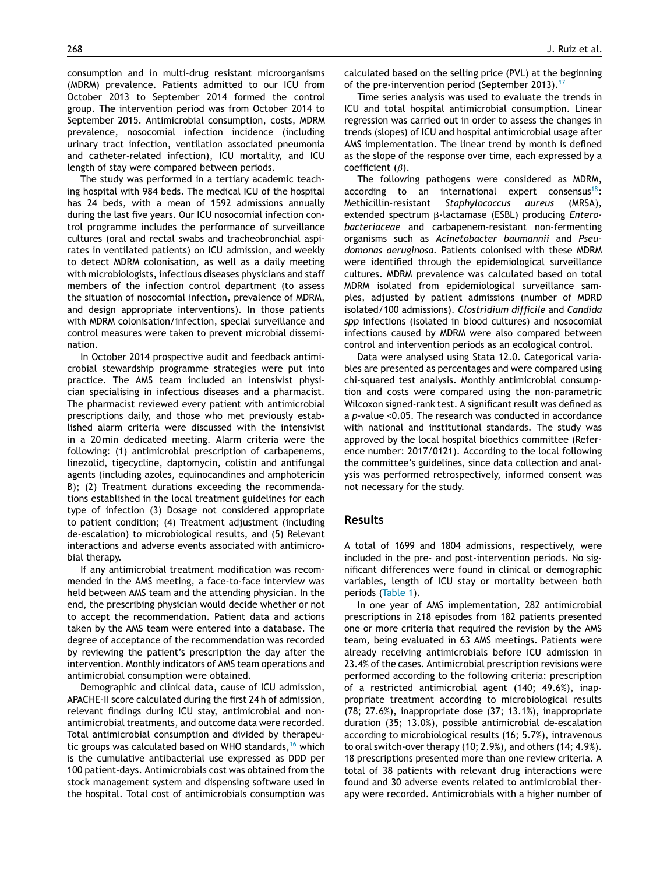consumption and in multi-drug resistant microorganisms (MDRM) prevalence. Patients admitted to our ICU from October 2013 to September 2014 formed the control group. The intervention period was from October 2014 to September 2015. Antimicrobial consumption, costs, MDRM prevalence, nosocomial infection incidence (including urinary tract infection, ventilation associated pneumonia and catheter-related infection), ICU mortality, and ICU length of stay were compared between periods.

The study was performed in a tertiary academic teaching hospital with 984 beds. The medical ICU of the hospital has 24 beds, with a mean of 1592 admissions annually during the last five years. Our ICU nosocomial infection control programme includes the performance of surveillance cultures (oral and rectal swabs and tracheobronchial aspirates in ventilated patients) on ICU admission, and weekly to detect MDRM colonisation, as well as a daily meeting with microbiologists, infectious diseases physicians and staff members of the infection control department (to assess the situation of nosocomial infection, prevalence of MDRM, and design appropriate interventions). In those patients with MDRM colonisation/infection, special surveillance and control measures were taken to prevent microbial dissemination.

In October 2014 prospective audit and feedback antimicrobial stewardship programme strategies were put into practice. The AMS team included an intensivist physician specialising in infectious diseases and a pharmacist. The pharmacist reviewed every patient with antimicrobial prescriptions daily, and those who met previously established alarm criteria were discussed with the intensivist in a 20 min dedicated meeting. Alarm criteria were the following: (1) antimicrobial prescription of carbapenems, linezolid, tigecycline, daptomycin, colistin and antifungal agents (including azoles, equinocandines and amphotericin B); (2) Treatment durations exceeding the recommendations established in the local treatment guidelines for each type of infection (3) Dosage not considered appropriate to patient condition; (4) Treatment adjustment (including de-escalation) to microbiological results, and (5) Relevant interactions and adverse events associated with antimicrobial therapy.

If any antimicrobial treatment modification was recommended in the AMS meeting, a face-to-face interview was held between AMS team and the attending physician. In the end, the prescribing physician would decide whether or not to accept the recommendation. Patient data and actions taken by the AMS team were entered into a database. The degree of acceptance of the recommendation was recorded by reviewing the patient's prescription the day after the intervention. Monthly indicators of AMS team operations and antimicrobial consumption were obtained.

Demographic and clinical data, cause of ICU admission, APACHE-II score calculated during the first 24 h of admission, relevant findings during ICU stay, antimicrobial and nonantimicrobial treatments, and outcome data were recorded. Total antimicrobial consumption and divided by therapeu-tic groups was calculated based on WHO standards,<sup>[16](#page-6-0)</sup> which is the cumulative antibacterial use expressed as DDD per 100 patient-days. Antimicrobials cost was obtained from the stock management system and dispensing software used in the hospital. Total cost of antimicrobials consumption was

calculated based on the selling price (PVL) at the beginning of the pre-intervention period (September 2013).<sup>[17](#page-6-0)</sup>

Time series analysis was used to evaluate the trends in ICU and total hospital antimicrobial consumption. Linear regression was carried out in order to assess the changes in trends (slopes) of ICU and hospital antimicrobial usage after AMS implementation. The linear trend by month is defined as the slope of the response over time, each expressed by a coefficient  $(\beta)$ .

The following pathogens were considered as MDRM, according to an international expert consensus<sup>[18](#page-6-0)</sup>: Methicillin-resistant *Staphylococcus aureus* (MRSA), extended spectrum β-lactamase (ESBL) producing *Enterobacteriaceae* and carbapenem-resistant non-fermenting organisms such as *Acinetobacter baumannii* and *Pseudomonas aeruginosa.* Patients colonised with these MDRM were identified through the epidemiological surveillance cultures. MDRM prevalence was calculated based on total MDRM isolated from epidemiological surveillance samples, adjusted by patient admissions (number of MDRD isolated/100 admissions). *Clostridium difficile* and *Candida spp* infections (isolated in blood cultures) and nosocomial infections caused by MDRM were also compared between control and intervention periods as an ecological control.

Data were analysed using Stata 12.0. Categorical variables are presented as percentages and were compared using chi-squared test analysis. Monthly antimicrobial consumption and costs were compared using the non-parametric Wilcoxon signed-rank test. A significant result was defined as a *p*-value <0.05. The research was conducted in accordance with national and institutional standards. The study was approved by the local hospital bioethics committee (Reference number: 2017/0121). According to the local following the committee's guidelines, since data collection and analysis was performed retrospectively, informed consent was not necessary for the study.

#### **Results**

A total of 1699 and 1804 admissions, respectively, were included in the pre- and post-intervention periods. No significant differences were found in clinical or demographic variables, length of ICU stay or mortality between both periods [\(Table](#page-3-0) 1).

In one year of AMS implementation, 282 antimicrobial prescriptions in 218 episodes from 182 patients presented one or more criteria that required the revision by the AMS team, being evaluated in 63 AMS meetings. Patients were already receiving antimicrobials before ICU admission in 23.4% of the cases. Antimicrobial prescription revisions were performed according to the following criteria: prescription of a restricted antimicrobial agent (140; 49.6%), inappropriate treatment according to microbiological results (78; 27.6%), inappropriate dose (37; 13.1%), inappropriate duration (35; 13.0%), possible antimicrobial de-escalation according to microbiological results (16; 5.7%), intravenous to oral switch-over therapy (10; 2.9%), and others (14; 4.9%). 18 prescriptions presented more than one review criteria. A total of 38 patients with relevant drug interactions were found and 30 adverse events related to antimicrobial therapy were recorded. Antimicrobials with a higher number of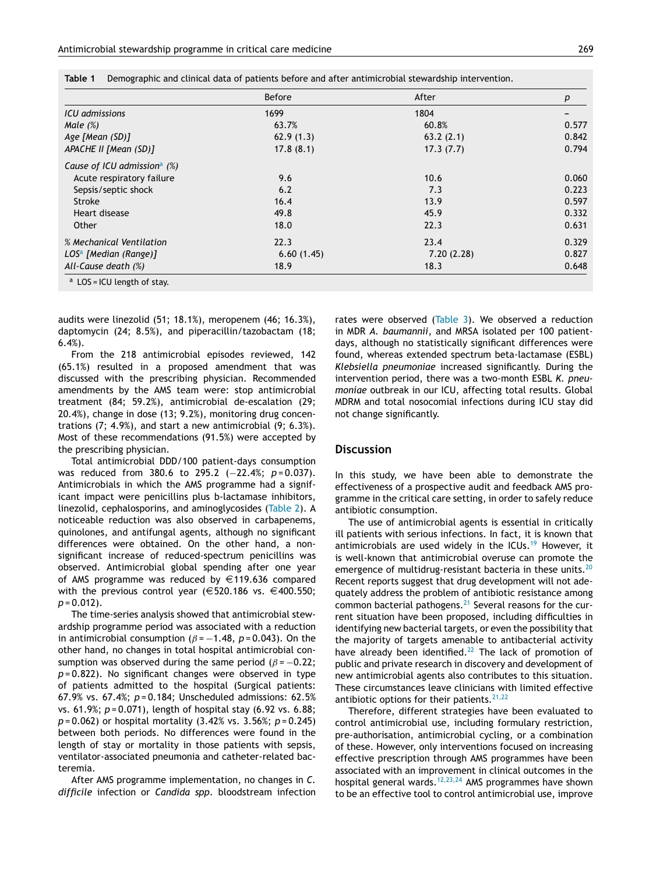| ٠<br>× |             |   |
|--------|-------------|---|
|        |             |   |
|        | I<br>$\sim$ | i |

<span id="page-3-0"></span>

| Table 1 |  |  |  |  |  | . Demographic and clinical data of patients before and after antimicrobial stewardship intervention |  |
|---------|--|--|--|--|--|-----------------------------------------------------------------------------------------------------|--|
|---------|--|--|--|--|--|-----------------------------------------------------------------------------------------------------|--|

|                                            | <b>Before</b> | After      | p     |
|--------------------------------------------|---------------|------------|-------|
| ICU admissions                             | 1699          | 1804       |       |
| Male $(\%)$                                | 63.7%         | 60.8%      | 0.577 |
| Age [Mean $(SD)$ ]                         | 62.9(1.3)     | 63.2(2.1)  | 0.842 |
| APACHE II [Mean (SD)]                      | 17.8(8.1)     | 17.3(7.7)  | 0.794 |
| Cause of ICU admission <sup>a</sup> $(\%)$ |               |            |       |
| Acute respiratory failure                  | 9.6           | 10.6       | 0.060 |
| Sepsis/septic shock                        | 6.2           | 7.3        | 0.223 |
| Stroke                                     | 16.4          | 13.9       | 0.597 |
| Heart disease                              | 49.8          | 45.9       | 0.332 |
| Other                                      | 18.0          | 22.3       | 0.631 |
| % Mechanical Ventilation                   | 22.3          | 23.4       | 0.329 |
| $LOSa$ [Median (Range)]                    | 6.60(1.45)    | 7.20(2.28) | 0.827 |
| All-Cause death (%)                        | 18.9          | 18.3       | 0.648 |

audits were linezolid (51; 18.1%), meropenem (46; 16.3%), daptomycin (24; 8.5%), and piperacillin/tazobactam (18; 6.4%).

From the 218 antimicrobial episodes reviewed, 142 (65.1%) resulted in a proposed amendment that was discussed with the prescribing physician. Recommended amendments by the AMS team were: stop antimicrobial treatment (84; 59.2%), antimicrobial de-escalation (29; 20.4%), change in dose (13; 9.2%), monitoring drug concentrations (7; 4.9%), and start a new antimicrobial (9; 6.3%). Most of these recommendations (91.5%) were accepted by the prescribing physician.

Total antimicrobial DDD/100 patient-days consumption was reduced from 380.6 to 295.2 (−22.4%; *p* = 0.037). Antimicrobials in which the AMS programme had a significant impact were penicillins plus b-lactamase inhibitors, linezolid, cephalosporins, and aminoglycosides ([Table](#page-4-0) 2). A noticeable reduction was also observed in carbapenems, quinolones, and antifungal agents, although no significant differences were obtained. On the other hand, a nonsignificant increase of reduced-spectrum penicillins was observed. Antimicrobial global spending after one year of AMS programme was reduced by  $\in$  119.636 compared with the previous control year ( $\in$  520.186 vs.  $\in$  400.550; *p* = 0.012).

The time-series analysis showed that antimicrobial stewardship programme period was associated with a reduction in antimicrobial consumption ( $\beta$  =  $-1.48$ ,  $p$  = 0.043). On the other hand, no changes in total hospital antimicrobial consumption was observed during the same period ( $\beta$  = -0.22; *p* = 0.822). No significant changes were observed in type of patients admitted to the hospital (Surgical patients: 67.9% vs. 67.4%; *p* = 0.184; Unscheduled admissions: 62.5% vs. 61.9%; *p* = 0.071), length of hospital stay (6.92 vs. 6.88; *p* = 0.062) or hospital mortality (3.42% vs. 3.56%; *p* = 0.245) between both periods. No differences were found in the length of stay or mortality in those patients with sepsis, ventilator-associated pneumonia and catheter-related bacteremia.

After AMS programme implementation, no changes in *C. difficile* infection or *Candida spp*. bloodstream infection rates were observed [\(Table](#page-4-0) 3). We observed a reduction in MDR *A. baumannii*, and MRSA isolated per 100 patientdays, although no statistically significant differences were found, whereas extended spectrum beta-lactamase (ESBL) *Klebsiella pneumoniae* increased significantly. During the intervention period, there was a two-month ESBL *K. pneumoniae* outbreak in our ICU, affecting total results. Global MDRM and total nosocomial infections during ICU stay did not change significantly.

#### **Discussion**

In this study, we have been able to demonstrate the effectiveness of a prospective audit and feedback AMS programme in the critical care setting, in order to safely reduce antibiotic consumption.

The use of antimicrobial agents is essential in critically ill patients with serious infections. In fact, it is known that antimicrobials are used widely in the ICUs.<sup>[19](#page-6-0)</sup> However, it is well-known that antimicrobial overuse can promote the emergence of multidrug-resistant bacteria in these units.<sup>[20](#page-6-0)</sup> Recent reports suggest that drug development will not adequately address the problem of antibiotic resistance among common bacterial pathogens. $^{21}$  $^{21}$  $^{21}$  Several reasons for the current situation have been proposed, including difficulties in identifying new bacterial targets, or even the possibility that the majority of targets amenable to antibacterial activity have already been identified.<sup>[22](#page-6-0)</sup> The lack of promotion of public and private research in discovery and development of new antimicrobial agents also contributes to this situation. These circumstances leave clinicians with limited effective antibiotic options for their patients.  $21,22$ 

Therefore, different strategies have been evaluated to control antimicrobial use, including formulary restriction, pre-authorisation, antimicrobial cycling, or a combination of these. However, only interventions focused on increasing effective prescription through AMS programmes have been associated with an improvement in clinical outcomes in the hospital general wards.<sup>[12,23,24](#page-6-0)</sup> AMS programmes have shown to be an effective tool to control antimicrobial use, improve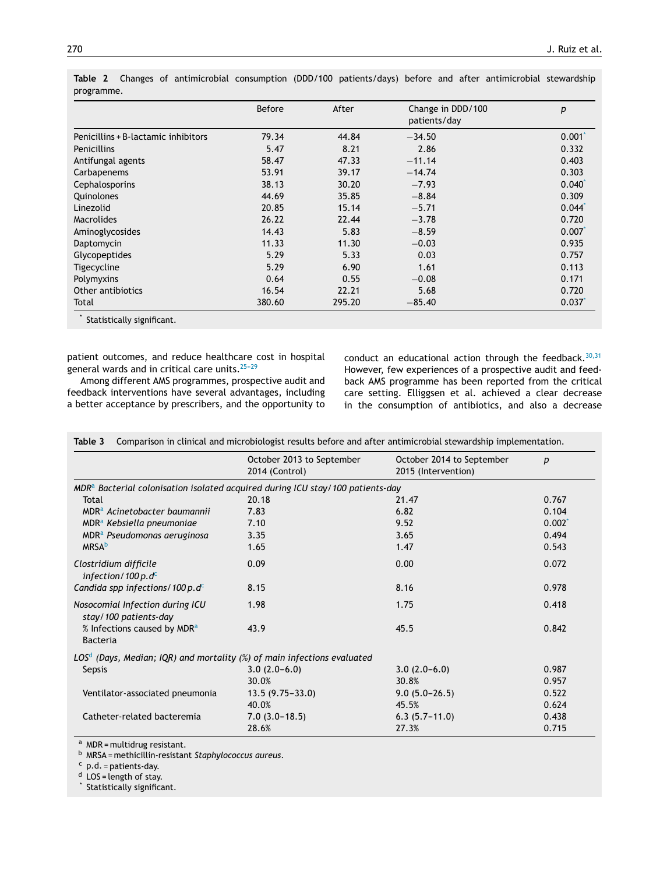|                                     | <b>Before</b> | After  | Change in DDD/100<br>patients/day | p           |
|-------------------------------------|---------------|--------|-----------------------------------|-------------|
| Penicillins + B-lactamic inhibitors | 79.34         | 44.84  | $-34.50$                          | $0.001^*$   |
| <b>Penicillins</b>                  | 5.47          | 8.21   | 2.86                              | 0.332       |
| Antifungal agents                   | 58.47         | 47.33  | $-11.14$                          | 0.403       |
| Carbapenems                         | 53.91         | 39.17  | $-14.74$                          | 0.303       |
| Cephalosporins                      | 38.13         | 30.20  | $-7.93$                           | $0.040^{*}$ |
| Quinolones                          | 44.69         | 35.85  | $-8.84$                           | 0.309       |
| Linezolid                           | 20.85         | 15.14  | $-5.71$                           | $0.044*$    |
| <b>Macrolides</b>                   | 26.22         | 22.44  | $-3.78$                           | 0.720       |
| Aminoglycosides                     | 14.43         | 5.83   | $-8.59$                           | 0.007       |
| Daptomycin                          | 11.33         | 11.30  | $-0.03$                           | 0.935       |
| Glycopeptides                       | 5.29          | 5.33   | 0.03                              | 0.757       |
| Tigecycline                         | 5.29          | 6.90   | 1.61                              | 0.113       |
| Polymyxins                          | 0.64          | 0.55   | $-0.08$                           | 0.171       |
| Other antibiotics                   | 16.54         | 22.21  | 5.68                              | 0.720       |
| Total                               | 380.60        | 295.20 | $-85.40$                          | 0.037       |

<span id="page-4-0"></span>**Table 2** Changes of antimicrobial consumption (DDD/100 patients/days) before and after antimicrobial stewardship programme.

\* Statistically significant.

patient outcomes, and reduce healthcare cost in hospital general wards and in critical care units.  $25-29$ 

Among different AMS programmes, prospective audit and feedback interventions have several advantages, including a better acceptance by prescribers, and the opportunity to conduct an educational action through the feedback. $30,31$ However, few experiences of a prospective audit and feedback AMS programme has been reported from the critical care setting. Elliggsen et al. achieved a clear decrease in the consumption of antibiotics, and also a decrease

|                                                                                  | October 2013 to September<br>2014 (Control) | October 2014 to September<br>2015 (Intervention) | $\boldsymbol{p}$ |
|----------------------------------------------------------------------------------|---------------------------------------------|--------------------------------------------------|------------------|
| $MDRa$ Bacterial colonisation isolated acquired during ICU stay/100 patients-day |                                             |                                                  |                  |
| Total                                                                            | 20.18                                       | 21.47                                            | 0.767            |
| MDR <sup>a</sup> Acinetobacter baumannii                                         | 7.83                                        | 6.82                                             | 0.104            |
| MDR <sup>a</sup> Kebsiella pneumoniae                                            | 7.10                                        | 9.52                                             | $0.002^*$        |
| MDR <sup>a</sup> Pseudomonas aeruginosa                                          | 3.35                                        | 3.65                                             | 0.494            |
| <b>MRSA</b> <sup>b</sup>                                                         | 1.65                                        | 1.47                                             | 0.543            |
| Clostridium difficile<br>infection/100 p. $d^c$                                  | 0.09                                        | 0.00                                             | 0.072            |
| Candida spp infections/100 p.d $c$                                               | 8.15                                        | 8.16                                             | 0.978            |
| Nosocomial Infection during ICU<br>stay/100 patients-day                         | 1.98                                        | 1.75                                             | 0.418            |
| % Infections caused by MDR <sup>a</sup><br><b>Bacteria</b>                       | 43.9                                        | 45.5                                             | 0.842            |
| $LOSd$ (Days, Median; IQR) and mortality (%) of main infections evaluated        |                                             |                                                  |                  |
| Sepsis                                                                           | $3.0(2.0-6.0)$                              | $3.0(2.0-6.0)$                                   | 0.987            |
|                                                                                  | 30.0%                                       | 30.8%                                            | 0.957            |
| Ventilator-associated pneumonia                                                  | $13.5(9.75 - 33.0)$                         | $9.0(5.0-26.5)$                                  | 0.522            |
|                                                                                  | 40.0%                                       | 45.5%                                            | 0.624            |
| Catheter-related bacteremia                                                      | $7.0(3.0-18.5)$                             | $6.3(5.7-11.0)$                                  | 0.438            |
|                                                                                  | 28.6%                                       | 27.3%                                            | 0.715            |

**Table 3** Comparison in clinical and microbiologist results before and after antimicrobial stewardship implementation.

 $a$  MDR = multidrug resistant.

<sup>b</sup> MRSA = methicillin-resistant *Staphylococcus aureus*.

 $c$  p.d. = patients-day.

 $d$  LOS = length of stay.

\* Statistically significant.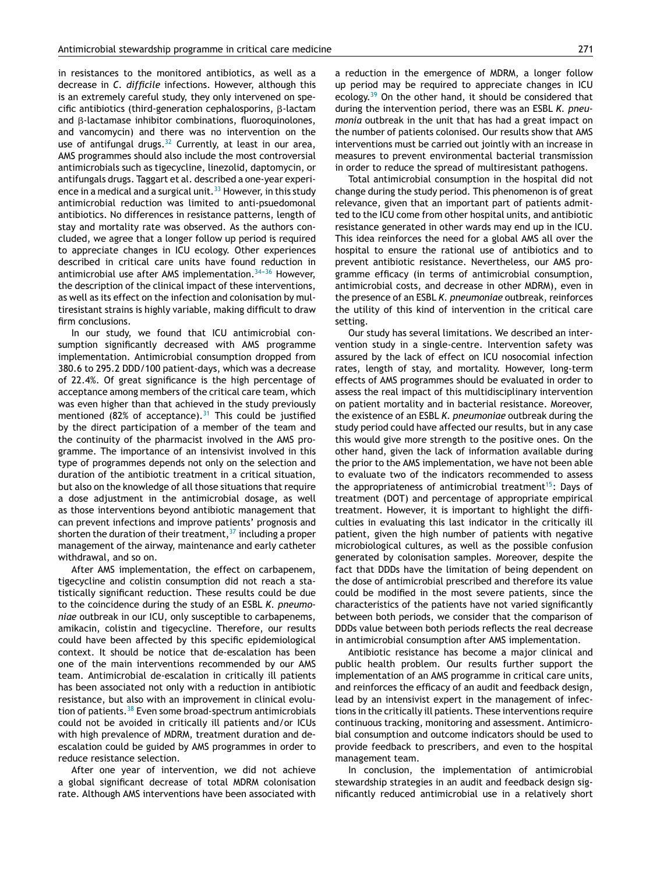in resistances to the monitored antibiotics, as well as a decrease in *C. difficile* infections. However, although this is an extremely careful study, they only intervened on specific antibiotics (third-generation cephalosporins,  $\beta$ -lactam and  $\beta$ -lactamase inhibitor combinations, fluoroquinolones, and vancomycin) and there was no intervention on the use of antifungal drugs. $32$  Currently, at least in our area, AMS programmes should also include the most controversial antimicrobials such as tigecycline, linezolid, daptomycin, or antifungals drugs. Taggart et al. described a one-year experi-ence in a medical and a surgical unit.<sup>[33](#page-7-0)</sup> However, in this study antimicrobial reduction was limited to anti-psuedomonal antibiotics. No differences in resistance patterns, length of stay and mortality rate was observed. As the authors concluded, we agree that a longer follow up period is required to appreciate changes in ICU ecology. Other experiences described in critical care units have found reduction in antimicrobial use after AMS implementation.  $34-36$  However, the description of the clinical impact of these interventions, as well as its effect on the infection and colonisation by multiresistant strains is highly variable, making difficult to draw firm conclusions.

In our study, we found that ICU antimicrobial consumption significantly decreased with AMS programme implementation. Antimicrobial consumption dropped from 380.6 to 295.2 DDD/100 patient-days, which was a decrease of 22.4%. Of great significance is the high percentage of acceptance among members of the critical care team, which was even higher than that achieved in the study previously mentioned (82% of acceptance). $31$  This could be justified by the direct participation of a member of the team and the continuity of the pharmacist involved in the AMS programme. The importance of an intensivist involved in this type of programmes depends not only on the selection and duration of the antibiotic treatment in a critical situation, but also on the knowledge of all those situations that require a dose adjustment in the antimicrobial dosage, as well as those interventions beyond antibiotic management that can prevent infections and improve patients' prognosis and shorten the duration of their treatment,  $37$  including a proper management of the airway, maintenance and early catheter withdrawal, and so on.

After AMS implementation, the effect on carbapenem, tigecycline and colistin consumption did not reach a statistically significant reduction. These results could be due to the coincidence during the study of an ESBL *K. pneumoniae* outbreak in our ICU, only susceptible to carbapenems, amikacin, colistin and tigecycline. Therefore, our results could have been affected by this specific epidemiological context. It should be notice that de-escalation has been one of the main interventions recommended by our AMS team. Antimicrobial de-escalation in critically ill patients has been associated not only with a reduction in antibiotic resistance, but also with an improvement in clinical evolu-tion of patients.<sup>[38](#page-7-0)</sup> Even some broad-spectrum antimicrobials could not be avoided in critically ill patients and/or ICUs with high prevalence of MDRM, treatment duration and deescalation could be guided by AMS programmes in order to reduce resistance selection.

After one year of intervention, we did not achieve a global significant decrease of total MDRM colonisation rate. Although AMS interventions have been associated with a reduction in the emergence of MDRM, a longer follow up period may be required to appreciate changes in ICU ecology.<sup>[39](#page-7-0)</sup> On the other hand, it should be considered that during the intervention period, there was an ESBL *K. pneumonia* outbreak in the unit that has had a great impact on the number of patients colonised. Our results show that AMS interventions must be carried out jointly with an increase in measures to prevent environmental bacterial transmission in order to reduce the spread of multiresistant pathogens.

Total antimicrobial consumption in the hospital did not change during the study period. This phenomenon is of great relevance, given that an important part of patients admitted to the ICU come from other hospital units, and antibiotic resistance generated in other wards may end up in the ICU. This idea reinforces the need for a global AMS all over the hospital to ensure the rational use of antibiotics and to prevent antibiotic resistance. Nevertheless, our AMS programme efficacy (in terms of antimicrobial consumption, antimicrobial costs, and decrease in other MDRM), even in the presence of an ESBL *K. pneumoniae* outbreak, reinforces the utility of this kind of intervention in the critical care setting.

Our study has several limitations. We described an intervention study in a single-centre. Intervention safety was assured by the lack of effect on ICU nosocomial infection rates, length of stay, and mortality. However, long-term effects of AMS programmes should be evaluated in order to assess the real impact of this multidisciplinary intervention on patient mortality and in bacterial resistance. Moreover, the existence of an ESBL *K. pneumoniae* outbreak during the study period could have affected our results, but in any case this would give more strength to the positive ones. On the other hand, given the lack of information available during the prior to the AMS implementation, we have not been able to evaluate two of the indicators recommended to assess the appropriateness of antimicrobial treatment<sup>[15](#page-6-0)</sup>: Days of treatment (DOT) and percentage of appropriate empirical treatment. However, it is important to highlight the difficulties in evaluating this last indicator in the critically ill patient, given the high number of patients with negative microbiological cultures, as well as the possible confusion generated by colonisation samples. Moreover, despite the fact that DDDs have the limitation of being dependent on the dose of antimicrobial prescribed and therefore its value could be modified in the most severe patients, since the characteristics of the patients have not varied significantly between both periods, we consider that the comparison of DDDs value between both periods reflects the real decrease in antimicrobial consumption after AMS implementation.

Antibiotic resistance has become a major clinical and public health problem. Our results further support the implementation of an AMS programme in critical care units, and reinforces the efficacy of an audit and feedback design, lead by an intensivist expert in the management of infections in the critically ill patients. These interventions require continuous tracking, monitoring and assessment. Antimicrobial consumption and outcome indicators should be used to provide feedback to prescribers, and even to the hospital management team.

In conclusion, the implementation of antimicrobial stewardship strategies in an audit and feedback design significantly reduced antimicrobial use in a relatively short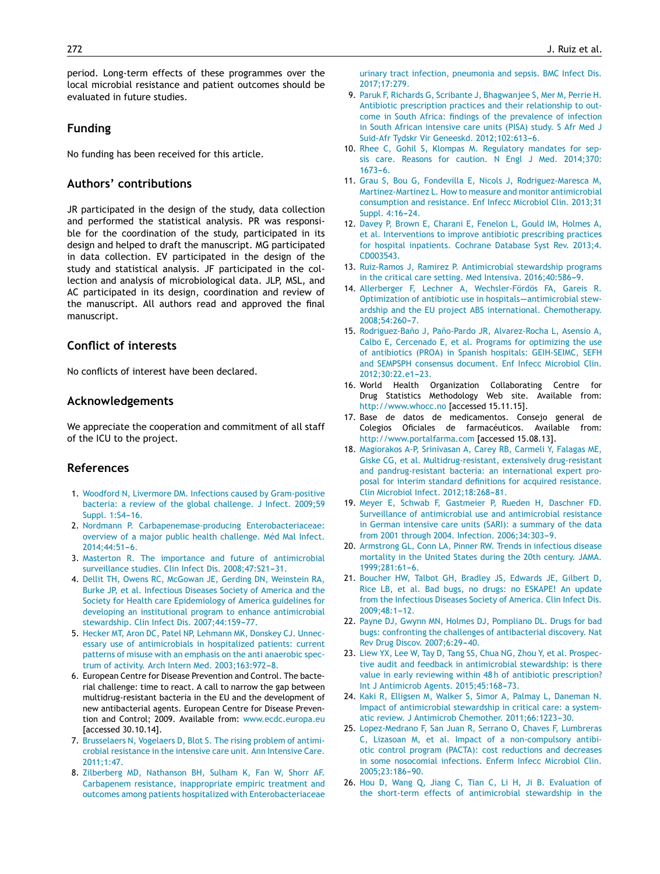<span id="page-6-0"></span>period. Long-term effects of these programmes over the local microbial resistance and patient outcomes should be evaluated in future studies.

## **Funding**

No funding has been received for this article.

# **Authors' contributions**

JR participated in the design of the study, data collection and performed the statistical analysis. PR was responsible for the coordination of the study, participated in its design and helped to draft the manuscript. MG participated in data collection. EV participated in the design of the study and statistical analysis. JF participated in the collection and analysis of microbiological data. JLP, MSL, and AC participated in its design, coordination and review of the manuscript. All authors read and approved the final manuscript.

### **Conflict of interests**

No conflicts of interest have been declared.

#### **Acknowledgements**

We appreciate the cooperation and commitment of all staff of the ICU to the project.

#### **References**

- 1. [Woodford](http://refhub.elsevier.com/S0210-5691(17)30214-0/sbref0200) [N,](http://refhub.elsevier.com/S0210-5691(17)30214-0/sbref0200) [Livermore](http://refhub.elsevier.com/S0210-5691(17)30214-0/sbref0200) [DM.](http://refhub.elsevier.com/S0210-5691(17)30214-0/sbref0200) [Infections](http://refhub.elsevier.com/S0210-5691(17)30214-0/sbref0200) [caused](http://refhub.elsevier.com/S0210-5691(17)30214-0/sbref0200) [by](http://refhub.elsevier.com/S0210-5691(17)30214-0/sbref0200) [Gram-positive](http://refhub.elsevier.com/S0210-5691(17)30214-0/sbref0200) [bacteria:](http://refhub.elsevier.com/S0210-5691(17)30214-0/sbref0200) [a](http://refhub.elsevier.com/S0210-5691(17)30214-0/sbref0200) [review](http://refhub.elsevier.com/S0210-5691(17)30214-0/sbref0200) [of](http://refhub.elsevier.com/S0210-5691(17)30214-0/sbref0200) [the](http://refhub.elsevier.com/S0210-5691(17)30214-0/sbref0200) [global](http://refhub.elsevier.com/S0210-5691(17)30214-0/sbref0200) [challenge.](http://refhub.elsevier.com/S0210-5691(17)30214-0/sbref0200) [J](http://refhub.elsevier.com/S0210-5691(17)30214-0/sbref0200) [Infect.](http://refhub.elsevier.com/S0210-5691(17)30214-0/sbref0200) [2009;59](http://refhub.elsevier.com/S0210-5691(17)30214-0/sbref0200) [Suppl.](http://refhub.elsevier.com/S0210-5691(17)30214-0/sbref0200) [1:S4](http://refhub.elsevier.com/S0210-5691(17)30214-0/sbref0200)-[16.](http://refhub.elsevier.com/S0210-5691(17)30214-0/sbref0200)
- 2. [Nordmann](http://refhub.elsevier.com/S0210-5691(17)30214-0/sbref0205) [P.](http://refhub.elsevier.com/S0210-5691(17)30214-0/sbref0205) [Carbapenemase-producing](http://refhub.elsevier.com/S0210-5691(17)30214-0/sbref0205) [Enterobacteriaceae:](http://refhub.elsevier.com/S0210-5691(17)30214-0/sbref0205) [overview](http://refhub.elsevier.com/S0210-5691(17)30214-0/sbref0205) [of](http://refhub.elsevier.com/S0210-5691(17)30214-0/sbref0205) [a](http://refhub.elsevier.com/S0210-5691(17)30214-0/sbref0205) [major](http://refhub.elsevier.com/S0210-5691(17)30214-0/sbref0205) [public](http://refhub.elsevier.com/S0210-5691(17)30214-0/sbref0205) [health](http://refhub.elsevier.com/S0210-5691(17)30214-0/sbref0205) [challenge.](http://refhub.elsevier.com/S0210-5691(17)30214-0/sbref0205) [Méd](http://refhub.elsevier.com/S0210-5691(17)30214-0/sbref0205) [Mal](http://refhub.elsevier.com/S0210-5691(17)30214-0/sbref0205) [Infect.](http://refhub.elsevier.com/S0210-5691(17)30214-0/sbref0205) [2014;44:51](http://refhub.elsevier.com/S0210-5691(17)30214-0/sbref0205)-[6.](http://refhub.elsevier.com/S0210-5691(17)30214-0/sbref0205)
- 3. [Masterton](http://refhub.elsevier.com/S0210-5691(17)30214-0/sbref0210) [R.](http://refhub.elsevier.com/S0210-5691(17)30214-0/sbref0210) [The](http://refhub.elsevier.com/S0210-5691(17)30214-0/sbref0210) [importance](http://refhub.elsevier.com/S0210-5691(17)30214-0/sbref0210) [and](http://refhub.elsevier.com/S0210-5691(17)30214-0/sbref0210) [future](http://refhub.elsevier.com/S0210-5691(17)30214-0/sbref0210) [of](http://refhub.elsevier.com/S0210-5691(17)30214-0/sbref0210) [antimicrobial](http://refhub.elsevier.com/S0210-5691(17)30214-0/sbref0210) [surveillance](http://refhub.elsevier.com/S0210-5691(17)30214-0/sbref0210) [studies.](http://refhub.elsevier.com/S0210-5691(17)30214-0/sbref0210) [Clin](http://refhub.elsevier.com/S0210-5691(17)30214-0/sbref0210) [Infect](http://refhub.elsevier.com/S0210-5691(17)30214-0/sbref0210) [Dis.](http://refhub.elsevier.com/S0210-5691(17)30214-0/sbref0210) [2008;47:S21](http://refhub.elsevier.com/S0210-5691(17)30214-0/sbref0210)-[31.](http://refhub.elsevier.com/S0210-5691(17)30214-0/sbref0210)
- 4. [Dellit](http://refhub.elsevier.com/S0210-5691(17)30214-0/sbref0215) [TH,](http://refhub.elsevier.com/S0210-5691(17)30214-0/sbref0215) [Owens](http://refhub.elsevier.com/S0210-5691(17)30214-0/sbref0215) [RC,](http://refhub.elsevier.com/S0210-5691(17)30214-0/sbref0215) [McGowan](http://refhub.elsevier.com/S0210-5691(17)30214-0/sbref0215) [JE,](http://refhub.elsevier.com/S0210-5691(17)30214-0/sbref0215) [Gerding](http://refhub.elsevier.com/S0210-5691(17)30214-0/sbref0215) [DN,](http://refhub.elsevier.com/S0210-5691(17)30214-0/sbref0215) [Weinstein](http://refhub.elsevier.com/S0210-5691(17)30214-0/sbref0215) [RA,](http://refhub.elsevier.com/S0210-5691(17)30214-0/sbref0215) [Burke](http://refhub.elsevier.com/S0210-5691(17)30214-0/sbref0215) [JP,](http://refhub.elsevier.com/S0210-5691(17)30214-0/sbref0215) [et](http://refhub.elsevier.com/S0210-5691(17)30214-0/sbref0215) [al.](http://refhub.elsevier.com/S0210-5691(17)30214-0/sbref0215) [Infectious](http://refhub.elsevier.com/S0210-5691(17)30214-0/sbref0215) [Diseases](http://refhub.elsevier.com/S0210-5691(17)30214-0/sbref0215) [Society](http://refhub.elsevier.com/S0210-5691(17)30214-0/sbref0215) [of](http://refhub.elsevier.com/S0210-5691(17)30214-0/sbref0215) [America](http://refhub.elsevier.com/S0210-5691(17)30214-0/sbref0215) [and](http://refhub.elsevier.com/S0210-5691(17)30214-0/sbref0215) [the](http://refhub.elsevier.com/S0210-5691(17)30214-0/sbref0215) [Society](http://refhub.elsevier.com/S0210-5691(17)30214-0/sbref0215) [for](http://refhub.elsevier.com/S0210-5691(17)30214-0/sbref0215) [Health](http://refhub.elsevier.com/S0210-5691(17)30214-0/sbref0215) [care](http://refhub.elsevier.com/S0210-5691(17)30214-0/sbref0215) [Epidemiology](http://refhub.elsevier.com/S0210-5691(17)30214-0/sbref0215) [of](http://refhub.elsevier.com/S0210-5691(17)30214-0/sbref0215) [America](http://refhub.elsevier.com/S0210-5691(17)30214-0/sbref0215) [guidelines](http://refhub.elsevier.com/S0210-5691(17)30214-0/sbref0215) [for](http://refhub.elsevier.com/S0210-5691(17)30214-0/sbref0215) [developing](http://refhub.elsevier.com/S0210-5691(17)30214-0/sbref0215) [an](http://refhub.elsevier.com/S0210-5691(17)30214-0/sbref0215) [institutional](http://refhub.elsevier.com/S0210-5691(17)30214-0/sbref0215) [program](http://refhub.elsevier.com/S0210-5691(17)30214-0/sbref0215) [to](http://refhub.elsevier.com/S0210-5691(17)30214-0/sbref0215) [enhance](http://refhub.elsevier.com/S0210-5691(17)30214-0/sbref0215) [antimicrobial](http://refhub.elsevier.com/S0210-5691(17)30214-0/sbref0215) [stewardship.](http://refhub.elsevier.com/S0210-5691(17)30214-0/sbref0215) [Clin](http://refhub.elsevier.com/S0210-5691(17)30214-0/sbref0215) [Infect](http://refhub.elsevier.com/S0210-5691(17)30214-0/sbref0215) [Dis.](http://refhub.elsevier.com/S0210-5691(17)30214-0/sbref0215) 2007;44:159-77.
- 5. [Hecker](http://refhub.elsevier.com/S0210-5691(17)30214-0/sbref0220) [MT,](http://refhub.elsevier.com/S0210-5691(17)30214-0/sbref0220) [Aron](http://refhub.elsevier.com/S0210-5691(17)30214-0/sbref0220) [DC,](http://refhub.elsevier.com/S0210-5691(17)30214-0/sbref0220) [Patel](http://refhub.elsevier.com/S0210-5691(17)30214-0/sbref0220) [NP,](http://refhub.elsevier.com/S0210-5691(17)30214-0/sbref0220) [Lehmann](http://refhub.elsevier.com/S0210-5691(17)30214-0/sbref0220) [MK,](http://refhub.elsevier.com/S0210-5691(17)30214-0/sbref0220) [Donskey](http://refhub.elsevier.com/S0210-5691(17)30214-0/sbref0220) [CJ.](http://refhub.elsevier.com/S0210-5691(17)30214-0/sbref0220) [Unnec](http://refhub.elsevier.com/S0210-5691(17)30214-0/sbref0220)[essary](http://refhub.elsevier.com/S0210-5691(17)30214-0/sbref0220) [use](http://refhub.elsevier.com/S0210-5691(17)30214-0/sbref0220) [of](http://refhub.elsevier.com/S0210-5691(17)30214-0/sbref0220) [antimicrobials](http://refhub.elsevier.com/S0210-5691(17)30214-0/sbref0220) [in](http://refhub.elsevier.com/S0210-5691(17)30214-0/sbref0220) [hospitalized](http://refhub.elsevier.com/S0210-5691(17)30214-0/sbref0220) [patients:](http://refhub.elsevier.com/S0210-5691(17)30214-0/sbref0220) [current](http://refhub.elsevier.com/S0210-5691(17)30214-0/sbref0220) [patterns](http://refhub.elsevier.com/S0210-5691(17)30214-0/sbref0220) [of](http://refhub.elsevier.com/S0210-5691(17)30214-0/sbref0220) [misuse](http://refhub.elsevier.com/S0210-5691(17)30214-0/sbref0220) [with](http://refhub.elsevier.com/S0210-5691(17)30214-0/sbref0220) [an](http://refhub.elsevier.com/S0210-5691(17)30214-0/sbref0220) [emphasis](http://refhub.elsevier.com/S0210-5691(17)30214-0/sbref0220) [on](http://refhub.elsevier.com/S0210-5691(17)30214-0/sbref0220) [the](http://refhub.elsevier.com/S0210-5691(17)30214-0/sbref0220) [anti](http://refhub.elsevier.com/S0210-5691(17)30214-0/sbref0220) [anaerobic](http://refhub.elsevier.com/S0210-5691(17)30214-0/sbref0220) [spec](http://refhub.elsevier.com/S0210-5691(17)30214-0/sbref0220)[trum](http://refhub.elsevier.com/S0210-5691(17)30214-0/sbref0220) [of](http://refhub.elsevier.com/S0210-5691(17)30214-0/sbref0220) [activity.](http://refhub.elsevier.com/S0210-5691(17)30214-0/sbref0220) [Arch](http://refhub.elsevier.com/S0210-5691(17)30214-0/sbref0220) [Intern](http://refhub.elsevier.com/S0210-5691(17)30214-0/sbref0220) [Med.](http://refhub.elsevier.com/S0210-5691(17)30214-0/sbref0220) 2003;163:972-8.
- 6. European Centre for Disease Prevention and Control. The bacterial challenge: time to react. A call to narrow the gap between multidrug-resistant bacteria in the EU and the development of new antibacterial agents. European Centre for Disease Prevention and Control; 2009. Available from: [www.ecdc.europa.eu](http://www.ecdc.europa.eu/) [accessed 30.10.14].
- 7. [Brusselaers](http://refhub.elsevier.com/S0210-5691(17)30214-0/sbref0230) [N,](http://refhub.elsevier.com/S0210-5691(17)30214-0/sbref0230) [Vogelaers](http://refhub.elsevier.com/S0210-5691(17)30214-0/sbref0230) [D,](http://refhub.elsevier.com/S0210-5691(17)30214-0/sbref0230) [Blot](http://refhub.elsevier.com/S0210-5691(17)30214-0/sbref0230) [S.](http://refhub.elsevier.com/S0210-5691(17)30214-0/sbref0230) [The](http://refhub.elsevier.com/S0210-5691(17)30214-0/sbref0230) [rising](http://refhub.elsevier.com/S0210-5691(17)30214-0/sbref0230) [problem](http://refhub.elsevier.com/S0210-5691(17)30214-0/sbref0230) [of](http://refhub.elsevier.com/S0210-5691(17)30214-0/sbref0230) [antimi](http://refhub.elsevier.com/S0210-5691(17)30214-0/sbref0230)[crobial](http://refhub.elsevier.com/S0210-5691(17)30214-0/sbref0230) [resistance](http://refhub.elsevier.com/S0210-5691(17)30214-0/sbref0230) [in](http://refhub.elsevier.com/S0210-5691(17)30214-0/sbref0230) [the](http://refhub.elsevier.com/S0210-5691(17)30214-0/sbref0230) [intensive](http://refhub.elsevier.com/S0210-5691(17)30214-0/sbref0230) [care](http://refhub.elsevier.com/S0210-5691(17)30214-0/sbref0230) [unit.](http://refhub.elsevier.com/S0210-5691(17)30214-0/sbref0230) [Ann](http://refhub.elsevier.com/S0210-5691(17)30214-0/sbref0230) [Intensive](http://refhub.elsevier.com/S0210-5691(17)30214-0/sbref0230) [Care.](http://refhub.elsevier.com/S0210-5691(17)30214-0/sbref0230) [2011;1:47.](http://refhub.elsevier.com/S0210-5691(17)30214-0/sbref0230)
- 8. [Zilberberg](http://refhub.elsevier.com/S0210-5691(17)30214-0/sbref0235) [MD,](http://refhub.elsevier.com/S0210-5691(17)30214-0/sbref0235) [Nathanson](http://refhub.elsevier.com/S0210-5691(17)30214-0/sbref0235) [BH,](http://refhub.elsevier.com/S0210-5691(17)30214-0/sbref0235) [Sulham](http://refhub.elsevier.com/S0210-5691(17)30214-0/sbref0235) [K,](http://refhub.elsevier.com/S0210-5691(17)30214-0/sbref0235) [Fan](http://refhub.elsevier.com/S0210-5691(17)30214-0/sbref0235) [W,](http://refhub.elsevier.com/S0210-5691(17)30214-0/sbref0235) [Shorr](http://refhub.elsevier.com/S0210-5691(17)30214-0/sbref0235) [AF.](http://refhub.elsevier.com/S0210-5691(17)30214-0/sbref0235) [Carbapenem](http://refhub.elsevier.com/S0210-5691(17)30214-0/sbref0235) [resistance,](http://refhub.elsevier.com/S0210-5691(17)30214-0/sbref0235) [inappropriate](http://refhub.elsevier.com/S0210-5691(17)30214-0/sbref0235) [empiric](http://refhub.elsevier.com/S0210-5691(17)30214-0/sbref0235) [treatment](http://refhub.elsevier.com/S0210-5691(17)30214-0/sbref0235) [and](http://refhub.elsevier.com/S0210-5691(17)30214-0/sbref0235) [outcomes](http://refhub.elsevier.com/S0210-5691(17)30214-0/sbref0235) [among](http://refhub.elsevier.com/S0210-5691(17)30214-0/sbref0235) [patients](http://refhub.elsevier.com/S0210-5691(17)30214-0/sbref0235) [hospitalized](http://refhub.elsevier.com/S0210-5691(17)30214-0/sbref0235) [with](http://refhub.elsevier.com/S0210-5691(17)30214-0/sbref0235) [Enterobacteriaceae](http://refhub.elsevier.com/S0210-5691(17)30214-0/sbref0235)
- 9. [Paruk](http://refhub.elsevier.com/S0210-5691(17)30214-0/sbref0240) [F,](http://refhub.elsevier.com/S0210-5691(17)30214-0/sbref0240) [Richards](http://refhub.elsevier.com/S0210-5691(17)30214-0/sbref0240) [G,](http://refhub.elsevier.com/S0210-5691(17)30214-0/sbref0240) [Scribante](http://refhub.elsevier.com/S0210-5691(17)30214-0/sbref0240) [J,](http://refhub.elsevier.com/S0210-5691(17)30214-0/sbref0240) [Bhagwanjee](http://refhub.elsevier.com/S0210-5691(17)30214-0/sbref0240) [S,](http://refhub.elsevier.com/S0210-5691(17)30214-0/sbref0240) [Mer](http://refhub.elsevier.com/S0210-5691(17)30214-0/sbref0240) [M,](http://refhub.elsevier.com/S0210-5691(17)30214-0/sbref0240) [Perrie](http://refhub.elsevier.com/S0210-5691(17)30214-0/sbref0240) [H.](http://refhub.elsevier.com/S0210-5691(17)30214-0/sbref0240) [Antibiotic](http://refhub.elsevier.com/S0210-5691(17)30214-0/sbref0240) [prescription](http://refhub.elsevier.com/S0210-5691(17)30214-0/sbref0240) [practices](http://refhub.elsevier.com/S0210-5691(17)30214-0/sbref0240) [and](http://refhub.elsevier.com/S0210-5691(17)30214-0/sbref0240) [their](http://refhub.elsevier.com/S0210-5691(17)30214-0/sbref0240) [relationship](http://refhub.elsevier.com/S0210-5691(17)30214-0/sbref0240) [to](http://refhub.elsevier.com/S0210-5691(17)30214-0/sbref0240) [out](http://refhub.elsevier.com/S0210-5691(17)30214-0/sbref0240)[come](http://refhub.elsevier.com/S0210-5691(17)30214-0/sbref0240) [in](http://refhub.elsevier.com/S0210-5691(17)30214-0/sbref0240) [South](http://refhub.elsevier.com/S0210-5691(17)30214-0/sbref0240) [Africa:](http://refhub.elsevier.com/S0210-5691(17)30214-0/sbref0240) [findings](http://refhub.elsevier.com/S0210-5691(17)30214-0/sbref0240) [of](http://refhub.elsevier.com/S0210-5691(17)30214-0/sbref0240) [the](http://refhub.elsevier.com/S0210-5691(17)30214-0/sbref0240) [prevalence](http://refhub.elsevier.com/S0210-5691(17)30214-0/sbref0240) [of](http://refhub.elsevier.com/S0210-5691(17)30214-0/sbref0240) [infection](http://refhub.elsevier.com/S0210-5691(17)30214-0/sbref0240) [in](http://refhub.elsevier.com/S0210-5691(17)30214-0/sbref0240) [South](http://refhub.elsevier.com/S0210-5691(17)30214-0/sbref0240) [African](http://refhub.elsevier.com/S0210-5691(17)30214-0/sbref0240) [intensive](http://refhub.elsevier.com/S0210-5691(17)30214-0/sbref0240) [care](http://refhub.elsevier.com/S0210-5691(17)30214-0/sbref0240) [units](http://refhub.elsevier.com/S0210-5691(17)30214-0/sbref0240) [\(PISA\)](http://refhub.elsevier.com/S0210-5691(17)30214-0/sbref0240) [study.](http://refhub.elsevier.com/S0210-5691(17)30214-0/sbref0240) [S](http://refhub.elsevier.com/S0210-5691(17)30214-0/sbref0240) [Afr](http://refhub.elsevier.com/S0210-5691(17)30214-0/sbref0240) [Med](http://refhub.elsevier.com/S0210-5691(17)30214-0/sbref0240) [J](http://refhub.elsevier.com/S0210-5691(17)30214-0/sbref0240) [Suid-Afr](http://refhub.elsevier.com/S0210-5691(17)30214-0/sbref0240) [Tydskr](http://refhub.elsevier.com/S0210-5691(17)30214-0/sbref0240) [Vir](http://refhub.elsevier.com/S0210-5691(17)30214-0/sbref0240) [Geneeskd.](http://refhub.elsevier.com/S0210-5691(17)30214-0/sbref0240) 2012;102:613-6.
- 10. [Rhee](http://refhub.elsevier.com/S0210-5691(17)30214-0/sbref0245) [C,](http://refhub.elsevier.com/S0210-5691(17)30214-0/sbref0245) [Gohil](http://refhub.elsevier.com/S0210-5691(17)30214-0/sbref0245) [S,](http://refhub.elsevier.com/S0210-5691(17)30214-0/sbref0245) [Klompas](http://refhub.elsevier.com/S0210-5691(17)30214-0/sbref0245) [M.](http://refhub.elsevier.com/S0210-5691(17)30214-0/sbref0245) [Regulatory](http://refhub.elsevier.com/S0210-5691(17)30214-0/sbref0245) [mandates](http://refhub.elsevier.com/S0210-5691(17)30214-0/sbref0245) [for](http://refhub.elsevier.com/S0210-5691(17)30214-0/sbref0245) [sep](http://refhub.elsevier.com/S0210-5691(17)30214-0/sbref0245)[sis](http://refhub.elsevier.com/S0210-5691(17)30214-0/sbref0245) [care.](http://refhub.elsevier.com/S0210-5691(17)30214-0/sbref0245) [Reasons](http://refhub.elsevier.com/S0210-5691(17)30214-0/sbref0245) [for](http://refhub.elsevier.com/S0210-5691(17)30214-0/sbref0245) [caution.](http://refhub.elsevier.com/S0210-5691(17)30214-0/sbref0245) [N](http://refhub.elsevier.com/S0210-5691(17)30214-0/sbref0245) [Engl](http://refhub.elsevier.com/S0210-5691(17)30214-0/sbref0245) [J](http://refhub.elsevier.com/S0210-5691(17)30214-0/sbref0245) [Med.](http://refhub.elsevier.com/S0210-5691(17)30214-0/sbref0245) [2014;370:](http://refhub.elsevier.com/S0210-5691(17)30214-0/sbref0245)  $1673 - 6$
- 11. [Grau](http://refhub.elsevier.com/S0210-5691(17)30214-0/sbref0250) [S,](http://refhub.elsevier.com/S0210-5691(17)30214-0/sbref0250) [Bou](http://refhub.elsevier.com/S0210-5691(17)30214-0/sbref0250) [G,](http://refhub.elsevier.com/S0210-5691(17)30214-0/sbref0250) [Fondevilla](http://refhub.elsevier.com/S0210-5691(17)30214-0/sbref0250) [E,](http://refhub.elsevier.com/S0210-5691(17)30214-0/sbref0250) [Nicols](http://refhub.elsevier.com/S0210-5691(17)30214-0/sbref0250) [J,](http://refhub.elsevier.com/S0210-5691(17)30214-0/sbref0250) [Rodriguez-Maresca](http://refhub.elsevier.com/S0210-5691(17)30214-0/sbref0250) [M,](http://refhub.elsevier.com/S0210-5691(17)30214-0/sbref0250) [Martinez-Martinez](http://refhub.elsevier.com/S0210-5691(17)30214-0/sbref0250) [L.](http://refhub.elsevier.com/S0210-5691(17)30214-0/sbref0250) [How](http://refhub.elsevier.com/S0210-5691(17)30214-0/sbref0250) [to](http://refhub.elsevier.com/S0210-5691(17)30214-0/sbref0250) [measure](http://refhub.elsevier.com/S0210-5691(17)30214-0/sbref0250) [and](http://refhub.elsevier.com/S0210-5691(17)30214-0/sbref0250) [monitor](http://refhub.elsevier.com/S0210-5691(17)30214-0/sbref0250) [antimicrobial](http://refhub.elsevier.com/S0210-5691(17)30214-0/sbref0250) [consumption](http://refhub.elsevier.com/S0210-5691(17)30214-0/sbref0250) [and](http://refhub.elsevier.com/S0210-5691(17)30214-0/sbref0250) [resistance.](http://refhub.elsevier.com/S0210-5691(17)30214-0/sbref0250) [Enf](http://refhub.elsevier.com/S0210-5691(17)30214-0/sbref0250) [Infecc](http://refhub.elsevier.com/S0210-5691(17)30214-0/sbref0250) [Microbiol](http://refhub.elsevier.com/S0210-5691(17)30214-0/sbref0250) [Clin.](http://refhub.elsevier.com/S0210-5691(17)30214-0/sbref0250) [2013;31](http://refhub.elsevier.com/S0210-5691(17)30214-0/sbref0250) [Suppl.](http://refhub.elsevier.com/S0210-5691(17)30214-0/sbref0250) [4:16](http://refhub.elsevier.com/S0210-5691(17)30214-0/sbref0250)-[24.](http://refhub.elsevier.com/S0210-5691(17)30214-0/sbref0250)
- 12. [Davey](http://refhub.elsevier.com/S0210-5691(17)30214-0/sbref0255) [P,](http://refhub.elsevier.com/S0210-5691(17)30214-0/sbref0255) [Brown](http://refhub.elsevier.com/S0210-5691(17)30214-0/sbref0255) [E,](http://refhub.elsevier.com/S0210-5691(17)30214-0/sbref0255) [Charani](http://refhub.elsevier.com/S0210-5691(17)30214-0/sbref0255) [E,](http://refhub.elsevier.com/S0210-5691(17)30214-0/sbref0255) [Fenelon](http://refhub.elsevier.com/S0210-5691(17)30214-0/sbref0255) [L,](http://refhub.elsevier.com/S0210-5691(17)30214-0/sbref0255) [Gould](http://refhub.elsevier.com/S0210-5691(17)30214-0/sbref0255) [IM,](http://refhub.elsevier.com/S0210-5691(17)30214-0/sbref0255) [Holmes](http://refhub.elsevier.com/S0210-5691(17)30214-0/sbref0255) [A,](http://refhub.elsevier.com/S0210-5691(17)30214-0/sbref0255) [et](http://refhub.elsevier.com/S0210-5691(17)30214-0/sbref0255) [al.](http://refhub.elsevier.com/S0210-5691(17)30214-0/sbref0255) [Interventions](http://refhub.elsevier.com/S0210-5691(17)30214-0/sbref0255) [to](http://refhub.elsevier.com/S0210-5691(17)30214-0/sbref0255) [improve](http://refhub.elsevier.com/S0210-5691(17)30214-0/sbref0255) [antibiotic](http://refhub.elsevier.com/S0210-5691(17)30214-0/sbref0255) [prescribing](http://refhub.elsevier.com/S0210-5691(17)30214-0/sbref0255) [practices](http://refhub.elsevier.com/S0210-5691(17)30214-0/sbref0255) [for](http://refhub.elsevier.com/S0210-5691(17)30214-0/sbref0255) [hospital](http://refhub.elsevier.com/S0210-5691(17)30214-0/sbref0255) [inpatients.](http://refhub.elsevier.com/S0210-5691(17)30214-0/sbref0255) [Cochrane](http://refhub.elsevier.com/S0210-5691(17)30214-0/sbref0255) [Database](http://refhub.elsevier.com/S0210-5691(17)30214-0/sbref0255) [Syst](http://refhub.elsevier.com/S0210-5691(17)30214-0/sbref0255) [Rev.](http://refhub.elsevier.com/S0210-5691(17)30214-0/sbref0255) [2013;4.](http://refhub.elsevier.com/S0210-5691(17)30214-0/sbref0255) [CD003543.](http://refhub.elsevier.com/S0210-5691(17)30214-0/sbref0255)
- 13. [Ruiz-Ramos](http://refhub.elsevier.com/S0210-5691(17)30214-0/sbref0260) [J,](http://refhub.elsevier.com/S0210-5691(17)30214-0/sbref0260) [Ramirez](http://refhub.elsevier.com/S0210-5691(17)30214-0/sbref0260) [P.](http://refhub.elsevier.com/S0210-5691(17)30214-0/sbref0260) [Antimicrobial](http://refhub.elsevier.com/S0210-5691(17)30214-0/sbref0260) [stewardship](http://refhub.elsevier.com/S0210-5691(17)30214-0/sbref0260) [programs](http://refhub.elsevier.com/S0210-5691(17)30214-0/sbref0260) [in](http://refhub.elsevier.com/S0210-5691(17)30214-0/sbref0260) [the](http://refhub.elsevier.com/S0210-5691(17)30214-0/sbref0260) [critical](http://refhub.elsevier.com/S0210-5691(17)30214-0/sbref0260) [care](http://refhub.elsevier.com/S0210-5691(17)30214-0/sbref0260) [setting.](http://refhub.elsevier.com/S0210-5691(17)30214-0/sbref0260) [Med](http://refhub.elsevier.com/S0210-5691(17)30214-0/sbref0260) [Intensiva.](http://refhub.elsevier.com/S0210-5691(17)30214-0/sbref0260) 2016;40:586-9.
- 14. [Allerberger](http://refhub.elsevier.com/S0210-5691(17)30214-0/sbref0265) [F,](http://refhub.elsevier.com/S0210-5691(17)30214-0/sbref0265) [Lechner](http://refhub.elsevier.com/S0210-5691(17)30214-0/sbref0265) [A,](http://refhub.elsevier.com/S0210-5691(17)30214-0/sbref0265) [Wechsler-Fördös](http://refhub.elsevier.com/S0210-5691(17)30214-0/sbref0265) [FA,](http://refhub.elsevier.com/S0210-5691(17)30214-0/sbref0265) [Gareis](http://refhub.elsevier.com/S0210-5691(17)30214-0/sbref0265) [R.](http://refhub.elsevier.com/S0210-5691(17)30214-0/sbref0265) [Optimization](http://refhub.elsevier.com/S0210-5691(17)30214-0/sbref0265) [of](http://refhub.elsevier.com/S0210-5691(17)30214-0/sbref0265) [antibiotic](http://refhub.elsevier.com/S0210-5691(17)30214-0/sbref0265) [use](http://refhub.elsevier.com/S0210-5691(17)30214-0/sbref0265) [in](http://refhub.elsevier.com/S0210-5691(17)30214-0/sbref0265) hospitals--antimicrobial [stew](http://refhub.elsevier.com/S0210-5691(17)30214-0/sbref0265)[ardship](http://refhub.elsevier.com/S0210-5691(17)30214-0/sbref0265) [and](http://refhub.elsevier.com/S0210-5691(17)30214-0/sbref0265) [the](http://refhub.elsevier.com/S0210-5691(17)30214-0/sbref0265) [EU](http://refhub.elsevier.com/S0210-5691(17)30214-0/sbref0265) [project](http://refhub.elsevier.com/S0210-5691(17)30214-0/sbref0265) [ABS](http://refhub.elsevier.com/S0210-5691(17)30214-0/sbref0265) [international.](http://refhub.elsevier.com/S0210-5691(17)30214-0/sbref0265) [Chemotherapy.](http://refhub.elsevier.com/S0210-5691(17)30214-0/sbref0265) 2008;54:260-7.
- 15. Rodriguez-Baño [J,](http://refhub.elsevier.com/S0210-5691(17)30214-0/sbref0270) Paño-Pardo [JR,](http://refhub.elsevier.com/S0210-5691(17)30214-0/sbref0270) [Alvarez-Rocha](http://refhub.elsevier.com/S0210-5691(17)30214-0/sbref0270) [L,](http://refhub.elsevier.com/S0210-5691(17)30214-0/sbref0270) [Asensio](http://refhub.elsevier.com/S0210-5691(17)30214-0/sbref0270) [A,](http://refhub.elsevier.com/S0210-5691(17)30214-0/sbref0270) [Calbo](http://refhub.elsevier.com/S0210-5691(17)30214-0/sbref0270) [E,](http://refhub.elsevier.com/S0210-5691(17)30214-0/sbref0270) [Cercenado](http://refhub.elsevier.com/S0210-5691(17)30214-0/sbref0270) [E,](http://refhub.elsevier.com/S0210-5691(17)30214-0/sbref0270) [et](http://refhub.elsevier.com/S0210-5691(17)30214-0/sbref0270) [al.](http://refhub.elsevier.com/S0210-5691(17)30214-0/sbref0270) [Programs](http://refhub.elsevier.com/S0210-5691(17)30214-0/sbref0270) [for](http://refhub.elsevier.com/S0210-5691(17)30214-0/sbref0270) [optimizing](http://refhub.elsevier.com/S0210-5691(17)30214-0/sbref0270) [the](http://refhub.elsevier.com/S0210-5691(17)30214-0/sbref0270) [use](http://refhub.elsevier.com/S0210-5691(17)30214-0/sbref0270) [of](http://refhub.elsevier.com/S0210-5691(17)30214-0/sbref0270) [antibiotics](http://refhub.elsevier.com/S0210-5691(17)30214-0/sbref0270) [\(PROA\)](http://refhub.elsevier.com/S0210-5691(17)30214-0/sbref0270) [in](http://refhub.elsevier.com/S0210-5691(17)30214-0/sbref0270) [Spanish](http://refhub.elsevier.com/S0210-5691(17)30214-0/sbref0270) [hospitals:](http://refhub.elsevier.com/S0210-5691(17)30214-0/sbref0270) [GEIH-SEIMC,](http://refhub.elsevier.com/S0210-5691(17)30214-0/sbref0270) [SEFH](http://refhub.elsevier.com/S0210-5691(17)30214-0/sbref0270) [and](http://refhub.elsevier.com/S0210-5691(17)30214-0/sbref0270) [SEMPSPH](http://refhub.elsevier.com/S0210-5691(17)30214-0/sbref0270) [consensus](http://refhub.elsevier.com/S0210-5691(17)30214-0/sbref0270) [document.](http://refhub.elsevier.com/S0210-5691(17)30214-0/sbref0270) [Enf](http://refhub.elsevier.com/S0210-5691(17)30214-0/sbref0270) [Infecc](http://refhub.elsevier.com/S0210-5691(17)30214-0/sbref0270) [Microbiol](http://refhub.elsevier.com/S0210-5691(17)30214-0/sbref0270) [Clin.](http://refhub.elsevier.com/S0210-5691(17)30214-0/sbref0270) 2012;30:22.e1-23.
- 16. World Health Organization Collaborating Centre for Drug Statistics Methodology Web site. Available from: [http://www.whocc.no](http://www.whocc.no/) [accessed 15.11.15].
- 17. Base de datos de medicamentos. Consejo general de Colegios Oficiales de farmacéuticos. Available from: [http://www.portalfarma.com](http://www.portalfarma.com/) [accessed 15.08.13].
- 18. [Magiorakos](http://refhub.elsevier.com/S0210-5691(17)30214-0/sbref0285) [A-P,](http://refhub.elsevier.com/S0210-5691(17)30214-0/sbref0285) [Srinivasan](http://refhub.elsevier.com/S0210-5691(17)30214-0/sbref0285) [A,](http://refhub.elsevier.com/S0210-5691(17)30214-0/sbref0285) [Carey](http://refhub.elsevier.com/S0210-5691(17)30214-0/sbref0285) [RB,](http://refhub.elsevier.com/S0210-5691(17)30214-0/sbref0285) [Carmeli](http://refhub.elsevier.com/S0210-5691(17)30214-0/sbref0285) [Y,](http://refhub.elsevier.com/S0210-5691(17)30214-0/sbref0285) [Falagas](http://refhub.elsevier.com/S0210-5691(17)30214-0/sbref0285) [ME,](http://refhub.elsevier.com/S0210-5691(17)30214-0/sbref0285) [Giske](http://refhub.elsevier.com/S0210-5691(17)30214-0/sbref0285) [CG,](http://refhub.elsevier.com/S0210-5691(17)30214-0/sbref0285) [et](http://refhub.elsevier.com/S0210-5691(17)30214-0/sbref0285) [al.](http://refhub.elsevier.com/S0210-5691(17)30214-0/sbref0285) [Multidrug-resistant,](http://refhub.elsevier.com/S0210-5691(17)30214-0/sbref0285) [extensively](http://refhub.elsevier.com/S0210-5691(17)30214-0/sbref0285) [drug-resistant](http://refhub.elsevier.com/S0210-5691(17)30214-0/sbref0285) [and](http://refhub.elsevier.com/S0210-5691(17)30214-0/sbref0285) [pandrug-resistant](http://refhub.elsevier.com/S0210-5691(17)30214-0/sbref0285) [bacteria:](http://refhub.elsevier.com/S0210-5691(17)30214-0/sbref0285) [an](http://refhub.elsevier.com/S0210-5691(17)30214-0/sbref0285) [international](http://refhub.elsevier.com/S0210-5691(17)30214-0/sbref0285) [expert](http://refhub.elsevier.com/S0210-5691(17)30214-0/sbref0285) [pro](http://refhub.elsevier.com/S0210-5691(17)30214-0/sbref0285)[posal](http://refhub.elsevier.com/S0210-5691(17)30214-0/sbref0285) [for](http://refhub.elsevier.com/S0210-5691(17)30214-0/sbref0285) [interim](http://refhub.elsevier.com/S0210-5691(17)30214-0/sbref0285) [standard](http://refhub.elsevier.com/S0210-5691(17)30214-0/sbref0285) [definitions](http://refhub.elsevier.com/S0210-5691(17)30214-0/sbref0285) [for](http://refhub.elsevier.com/S0210-5691(17)30214-0/sbref0285) [acquired](http://refhub.elsevier.com/S0210-5691(17)30214-0/sbref0285) [resistance.](http://refhub.elsevier.com/S0210-5691(17)30214-0/sbref0285) [Clin](http://refhub.elsevier.com/S0210-5691(17)30214-0/sbref0285) [Microbiol](http://refhub.elsevier.com/S0210-5691(17)30214-0/sbref0285) [Infect.](http://refhub.elsevier.com/S0210-5691(17)30214-0/sbref0285) [2012;18:268](http://refhub.elsevier.com/S0210-5691(17)30214-0/sbref0285)-[81.](http://refhub.elsevier.com/S0210-5691(17)30214-0/sbref0285)
- 19. [Meyer](http://refhub.elsevier.com/S0210-5691(17)30214-0/sbref0290) [E,](http://refhub.elsevier.com/S0210-5691(17)30214-0/sbref0290) [Schwab](http://refhub.elsevier.com/S0210-5691(17)30214-0/sbref0290) [F,](http://refhub.elsevier.com/S0210-5691(17)30214-0/sbref0290) [Gastmeier](http://refhub.elsevier.com/S0210-5691(17)30214-0/sbref0290) [P,](http://refhub.elsevier.com/S0210-5691(17)30214-0/sbref0290) [Rueden](http://refhub.elsevier.com/S0210-5691(17)30214-0/sbref0290) [H,](http://refhub.elsevier.com/S0210-5691(17)30214-0/sbref0290) [Daschner](http://refhub.elsevier.com/S0210-5691(17)30214-0/sbref0290) [FD.](http://refhub.elsevier.com/S0210-5691(17)30214-0/sbref0290) [Surveillance](http://refhub.elsevier.com/S0210-5691(17)30214-0/sbref0290) [of](http://refhub.elsevier.com/S0210-5691(17)30214-0/sbref0290) [antimicrobial](http://refhub.elsevier.com/S0210-5691(17)30214-0/sbref0290) [use](http://refhub.elsevier.com/S0210-5691(17)30214-0/sbref0290) [and](http://refhub.elsevier.com/S0210-5691(17)30214-0/sbref0290) [antimicrobial](http://refhub.elsevier.com/S0210-5691(17)30214-0/sbref0290) [resistance](http://refhub.elsevier.com/S0210-5691(17)30214-0/sbref0290) [in](http://refhub.elsevier.com/S0210-5691(17)30214-0/sbref0290) [German](http://refhub.elsevier.com/S0210-5691(17)30214-0/sbref0290) [intensive](http://refhub.elsevier.com/S0210-5691(17)30214-0/sbref0290) [care](http://refhub.elsevier.com/S0210-5691(17)30214-0/sbref0290) [units](http://refhub.elsevier.com/S0210-5691(17)30214-0/sbref0290) [\(SARI\):](http://refhub.elsevier.com/S0210-5691(17)30214-0/sbref0290) [a](http://refhub.elsevier.com/S0210-5691(17)30214-0/sbref0290) [summary](http://refhub.elsevier.com/S0210-5691(17)30214-0/sbref0290) [of](http://refhub.elsevier.com/S0210-5691(17)30214-0/sbref0290) [the](http://refhub.elsevier.com/S0210-5691(17)30214-0/sbref0290) [data](http://refhub.elsevier.com/S0210-5691(17)30214-0/sbref0290) [from](http://refhub.elsevier.com/S0210-5691(17)30214-0/sbref0290) [2001](http://refhub.elsevier.com/S0210-5691(17)30214-0/sbref0290) [through](http://refhub.elsevier.com/S0210-5691(17)30214-0/sbref0290) [2004.](http://refhub.elsevier.com/S0210-5691(17)30214-0/sbref0290) [Infection.](http://refhub.elsevier.com/S0210-5691(17)30214-0/sbref0290) [2006;34:303](http://refhub.elsevier.com/S0210-5691(17)30214-0/sbref0290)[-9.](http://refhub.elsevier.com/S0210-5691(17)30214-0/sbref0290)
- 20. [Armstrong](http://refhub.elsevier.com/S0210-5691(17)30214-0/sbref0295) [GL,](http://refhub.elsevier.com/S0210-5691(17)30214-0/sbref0295) [Conn](http://refhub.elsevier.com/S0210-5691(17)30214-0/sbref0295) [LA,](http://refhub.elsevier.com/S0210-5691(17)30214-0/sbref0295) [Pinner](http://refhub.elsevier.com/S0210-5691(17)30214-0/sbref0295) [RW.](http://refhub.elsevier.com/S0210-5691(17)30214-0/sbref0295) [Trends](http://refhub.elsevier.com/S0210-5691(17)30214-0/sbref0295) [in](http://refhub.elsevier.com/S0210-5691(17)30214-0/sbref0295) [infectious](http://refhub.elsevier.com/S0210-5691(17)30214-0/sbref0295) [disease](http://refhub.elsevier.com/S0210-5691(17)30214-0/sbref0295) [mortality](http://refhub.elsevier.com/S0210-5691(17)30214-0/sbref0295) [in](http://refhub.elsevier.com/S0210-5691(17)30214-0/sbref0295) [the](http://refhub.elsevier.com/S0210-5691(17)30214-0/sbref0295) [United](http://refhub.elsevier.com/S0210-5691(17)30214-0/sbref0295) [States](http://refhub.elsevier.com/S0210-5691(17)30214-0/sbref0295) [during](http://refhub.elsevier.com/S0210-5691(17)30214-0/sbref0295) [the](http://refhub.elsevier.com/S0210-5691(17)30214-0/sbref0295) [20th](http://refhub.elsevier.com/S0210-5691(17)30214-0/sbref0295) [century.](http://refhub.elsevier.com/S0210-5691(17)30214-0/sbref0295) [JAMA.](http://refhub.elsevier.com/S0210-5691(17)30214-0/sbref0295) 1999;281:61-6.
- 21. [Boucher](http://refhub.elsevier.com/S0210-5691(17)30214-0/sbref0300) [HW,](http://refhub.elsevier.com/S0210-5691(17)30214-0/sbref0300) [Talbot](http://refhub.elsevier.com/S0210-5691(17)30214-0/sbref0300) [GH,](http://refhub.elsevier.com/S0210-5691(17)30214-0/sbref0300) [Bradley](http://refhub.elsevier.com/S0210-5691(17)30214-0/sbref0300) [JS,](http://refhub.elsevier.com/S0210-5691(17)30214-0/sbref0300) [Edwards](http://refhub.elsevier.com/S0210-5691(17)30214-0/sbref0300) [JE,](http://refhub.elsevier.com/S0210-5691(17)30214-0/sbref0300) [Gilbert](http://refhub.elsevier.com/S0210-5691(17)30214-0/sbref0300) [D,](http://refhub.elsevier.com/S0210-5691(17)30214-0/sbref0300) [Rice](http://refhub.elsevier.com/S0210-5691(17)30214-0/sbref0300) [LB,](http://refhub.elsevier.com/S0210-5691(17)30214-0/sbref0300) [et](http://refhub.elsevier.com/S0210-5691(17)30214-0/sbref0300) [al.](http://refhub.elsevier.com/S0210-5691(17)30214-0/sbref0300) [Bad](http://refhub.elsevier.com/S0210-5691(17)30214-0/sbref0300) [bugs,](http://refhub.elsevier.com/S0210-5691(17)30214-0/sbref0300) [no](http://refhub.elsevier.com/S0210-5691(17)30214-0/sbref0300) [drugs:](http://refhub.elsevier.com/S0210-5691(17)30214-0/sbref0300) [no](http://refhub.elsevier.com/S0210-5691(17)30214-0/sbref0300) [ESKAPE!](http://refhub.elsevier.com/S0210-5691(17)30214-0/sbref0300) [An](http://refhub.elsevier.com/S0210-5691(17)30214-0/sbref0300) [update](http://refhub.elsevier.com/S0210-5691(17)30214-0/sbref0300) [from](http://refhub.elsevier.com/S0210-5691(17)30214-0/sbref0300) [the](http://refhub.elsevier.com/S0210-5691(17)30214-0/sbref0300) [Infectious](http://refhub.elsevier.com/S0210-5691(17)30214-0/sbref0300) [Diseases](http://refhub.elsevier.com/S0210-5691(17)30214-0/sbref0300) [Society](http://refhub.elsevier.com/S0210-5691(17)30214-0/sbref0300) [of](http://refhub.elsevier.com/S0210-5691(17)30214-0/sbref0300) [America.](http://refhub.elsevier.com/S0210-5691(17)30214-0/sbref0300) [Clin](http://refhub.elsevier.com/S0210-5691(17)30214-0/sbref0300) [Infect](http://refhub.elsevier.com/S0210-5691(17)30214-0/sbref0300) [Dis.](http://refhub.elsevier.com/S0210-5691(17)30214-0/sbref0300)  $2009:48:1-12.$
- 22. [Payne](http://refhub.elsevier.com/S0210-5691(17)30214-0/sbref0305) [DJ,](http://refhub.elsevier.com/S0210-5691(17)30214-0/sbref0305) [Gwynn](http://refhub.elsevier.com/S0210-5691(17)30214-0/sbref0305) [MN,](http://refhub.elsevier.com/S0210-5691(17)30214-0/sbref0305) [Holmes](http://refhub.elsevier.com/S0210-5691(17)30214-0/sbref0305) [DJ,](http://refhub.elsevier.com/S0210-5691(17)30214-0/sbref0305) [Pompliano](http://refhub.elsevier.com/S0210-5691(17)30214-0/sbref0305) [DL.](http://refhub.elsevier.com/S0210-5691(17)30214-0/sbref0305) [Drugs](http://refhub.elsevier.com/S0210-5691(17)30214-0/sbref0305) [for](http://refhub.elsevier.com/S0210-5691(17)30214-0/sbref0305) [bad](http://refhub.elsevier.com/S0210-5691(17)30214-0/sbref0305) [bugs:](http://refhub.elsevier.com/S0210-5691(17)30214-0/sbref0305) [confronting](http://refhub.elsevier.com/S0210-5691(17)30214-0/sbref0305) [the](http://refhub.elsevier.com/S0210-5691(17)30214-0/sbref0305) [challenges](http://refhub.elsevier.com/S0210-5691(17)30214-0/sbref0305) [of](http://refhub.elsevier.com/S0210-5691(17)30214-0/sbref0305) [antibacterial](http://refhub.elsevier.com/S0210-5691(17)30214-0/sbref0305) [discovery.](http://refhub.elsevier.com/S0210-5691(17)30214-0/sbref0305) [Nat](http://refhub.elsevier.com/S0210-5691(17)30214-0/sbref0305) [Rev](http://refhub.elsevier.com/S0210-5691(17)30214-0/sbref0305) [Drug](http://refhub.elsevier.com/S0210-5691(17)30214-0/sbref0305) [Discov.](http://refhub.elsevier.com/S0210-5691(17)30214-0/sbref0305) 2007;6:29-40.
- 23. [Liew](http://refhub.elsevier.com/S0210-5691(17)30214-0/sbref0310) [YX,](http://refhub.elsevier.com/S0210-5691(17)30214-0/sbref0310) [Lee](http://refhub.elsevier.com/S0210-5691(17)30214-0/sbref0310) [W,](http://refhub.elsevier.com/S0210-5691(17)30214-0/sbref0310) [Tay](http://refhub.elsevier.com/S0210-5691(17)30214-0/sbref0310) [D,](http://refhub.elsevier.com/S0210-5691(17)30214-0/sbref0310) [Tang](http://refhub.elsevier.com/S0210-5691(17)30214-0/sbref0310) [SS,](http://refhub.elsevier.com/S0210-5691(17)30214-0/sbref0310) [Chua](http://refhub.elsevier.com/S0210-5691(17)30214-0/sbref0310) [NG,](http://refhub.elsevier.com/S0210-5691(17)30214-0/sbref0310) [Zhou](http://refhub.elsevier.com/S0210-5691(17)30214-0/sbref0310) [Y,](http://refhub.elsevier.com/S0210-5691(17)30214-0/sbref0310) [et](http://refhub.elsevier.com/S0210-5691(17)30214-0/sbref0310) [al.](http://refhub.elsevier.com/S0210-5691(17)30214-0/sbref0310) [Prospec](http://refhub.elsevier.com/S0210-5691(17)30214-0/sbref0310)[tive](http://refhub.elsevier.com/S0210-5691(17)30214-0/sbref0310) [audit](http://refhub.elsevier.com/S0210-5691(17)30214-0/sbref0310) [and](http://refhub.elsevier.com/S0210-5691(17)30214-0/sbref0310) [feedback](http://refhub.elsevier.com/S0210-5691(17)30214-0/sbref0310) [in](http://refhub.elsevier.com/S0210-5691(17)30214-0/sbref0310) [antimicrobial](http://refhub.elsevier.com/S0210-5691(17)30214-0/sbref0310) [stewardship:](http://refhub.elsevier.com/S0210-5691(17)30214-0/sbref0310) [is](http://refhub.elsevier.com/S0210-5691(17)30214-0/sbref0310) [there](http://refhub.elsevier.com/S0210-5691(17)30214-0/sbref0310) [value](http://refhub.elsevier.com/S0210-5691(17)30214-0/sbref0310) [in](http://refhub.elsevier.com/S0210-5691(17)30214-0/sbref0310) [early](http://refhub.elsevier.com/S0210-5691(17)30214-0/sbref0310) [reviewing](http://refhub.elsevier.com/S0210-5691(17)30214-0/sbref0310) [within](http://refhub.elsevier.com/S0210-5691(17)30214-0/sbref0310) [48](http://refhub.elsevier.com/S0210-5691(17)30214-0/sbref0310) [h](http://refhub.elsevier.com/S0210-5691(17)30214-0/sbref0310) [of](http://refhub.elsevier.com/S0210-5691(17)30214-0/sbref0310) [antibiotic](http://refhub.elsevier.com/S0210-5691(17)30214-0/sbref0310) [prescription?](http://refhub.elsevier.com/S0210-5691(17)30214-0/sbref0310) [Int](http://refhub.elsevier.com/S0210-5691(17)30214-0/sbref0310) [J](http://refhub.elsevier.com/S0210-5691(17)30214-0/sbref0310) [Antimicrob](http://refhub.elsevier.com/S0210-5691(17)30214-0/sbref0310) [Agents.](http://refhub.elsevier.com/S0210-5691(17)30214-0/sbref0310) 2015;45:168-73.
- 24. [Kaki](http://refhub.elsevier.com/S0210-5691(17)30214-0/sbref0315) [R,](http://refhub.elsevier.com/S0210-5691(17)30214-0/sbref0315) [Elligsen](http://refhub.elsevier.com/S0210-5691(17)30214-0/sbref0315) [M,](http://refhub.elsevier.com/S0210-5691(17)30214-0/sbref0315) [Walker](http://refhub.elsevier.com/S0210-5691(17)30214-0/sbref0315) [S,](http://refhub.elsevier.com/S0210-5691(17)30214-0/sbref0315) [Simor](http://refhub.elsevier.com/S0210-5691(17)30214-0/sbref0315) [A,](http://refhub.elsevier.com/S0210-5691(17)30214-0/sbref0315) [Palmay](http://refhub.elsevier.com/S0210-5691(17)30214-0/sbref0315) [L,](http://refhub.elsevier.com/S0210-5691(17)30214-0/sbref0315) [Daneman](http://refhub.elsevier.com/S0210-5691(17)30214-0/sbref0315) [N.](http://refhub.elsevier.com/S0210-5691(17)30214-0/sbref0315) [Impact](http://refhub.elsevier.com/S0210-5691(17)30214-0/sbref0315) [of](http://refhub.elsevier.com/S0210-5691(17)30214-0/sbref0315) [antimicrobial](http://refhub.elsevier.com/S0210-5691(17)30214-0/sbref0315) [stewardship](http://refhub.elsevier.com/S0210-5691(17)30214-0/sbref0315) [in](http://refhub.elsevier.com/S0210-5691(17)30214-0/sbref0315) [critical](http://refhub.elsevier.com/S0210-5691(17)30214-0/sbref0315) [care:](http://refhub.elsevier.com/S0210-5691(17)30214-0/sbref0315) [a](http://refhub.elsevier.com/S0210-5691(17)30214-0/sbref0315) [system](http://refhub.elsevier.com/S0210-5691(17)30214-0/sbref0315)[atic](http://refhub.elsevier.com/S0210-5691(17)30214-0/sbref0315) [review.](http://refhub.elsevier.com/S0210-5691(17)30214-0/sbref0315) [J](http://refhub.elsevier.com/S0210-5691(17)30214-0/sbref0315) [Antimicrob](http://refhub.elsevier.com/S0210-5691(17)30214-0/sbref0315) [Chemother.](http://refhub.elsevier.com/S0210-5691(17)30214-0/sbref0315) 2011;66:1223-30.
- 25. [Lopez-Medrano](http://refhub.elsevier.com/S0210-5691(17)30214-0/sbref0320) [F,](http://refhub.elsevier.com/S0210-5691(17)30214-0/sbref0320) [San](http://refhub.elsevier.com/S0210-5691(17)30214-0/sbref0320) [Juan](http://refhub.elsevier.com/S0210-5691(17)30214-0/sbref0320) [R,](http://refhub.elsevier.com/S0210-5691(17)30214-0/sbref0320) [Serrano](http://refhub.elsevier.com/S0210-5691(17)30214-0/sbref0320) [O,](http://refhub.elsevier.com/S0210-5691(17)30214-0/sbref0320) [Chaves](http://refhub.elsevier.com/S0210-5691(17)30214-0/sbref0320) [F,](http://refhub.elsevier.com/S0210-5691(17)30214-0/sbref0320) [Lumbreras](http://refhub.elsevier.com/S0210-5691(17)30214-0/sbref0320) [C,](http://refhub.elsevier.com/S0210-5691(17)30214-0/sbref0320) [Lizasoan](http://refhub.elsevier.com/S0210-5691(17)30214-0/sbref0320) [M,](http://refhub.elsevier.com/S0210-5691(17)30214-0/sbref0320) [et](http://refhub.elsevier.com/S0210-5691(17)30214-0/sbref0320) [al.](http://refhub.elsevier.com/S0210-5691(17)30214-0/sbref0320) [Impact](http://refhub.elsevier.com/S0210-5691(17)30214-0/sbref0320) [of](http://refhub.elsevier.com/S0210-5691(17)30214-0/sbref0320) [a](http://refhub.elsevier.com/S0210-5691(17)30214-0/sbref0320) [non-compulsory](http://refhub.elsevier.com/S0210-5691(17)30214-0/sbref0320) [antibi](http://refhub.elsevier.com/S0210-5691(17)30214-0/sbref0320)[otic](http://refhub.elsevier.com/S0210-5691(17)30214-0/sbref0320) [control](http://refhub.elsevier.com/S0210-5691(17)30214-0/sbref0320) [program](http://refhub.elsevier.com/S0210-5691(17)30214-0/sbref0320) [\(PACTA\):](http://refhub.elsevier.com/S0210-5691(17)30214-0/sbref0320) [cost](http://refhub.elsevier.com/S0210-5691(17)30214-0/sbref0320) [reductions](http://refhub.elsevier.com/S0210-5691(17)30214-0/sbref0320) [and](http://refhub.elsevier.com/S0210-5691(17)30214-0/sbref0320) [decreases](http://refhub.elsevier.com/S0210-5691(17)30214-0/sbref0320) [in](http://refhub.elsevier.com/S0210-5691(17)30214-0/sbref0320) [some](http://refhub.elsevier.com/S0210-5691(17)30214-0/sbref0320) [nosocomial](http://refhub.elsevier.com/S0210-5691(17)30214-0/sbref0320) [infections.](http://refhub.elsevier.com/S0210-5691(17)30214-0/sbref0320) [Enferm](http://refhub.elsevier.com/S0210-5691(17)30214-0/sbref0320) [Infecc](http://refhub.elsevier.com/S0210-5691(17)30214-0/sbref0320) [Microbiol](http://refhub.elsevier.com/S0210-5691(17)30214-0/sbref0320) [Clin.](http://refhub.elsevier.com/S0210-5691(17)30214-0/sbref0320) 2005:23:186-[90.](http://refhub.elsevier.com/S0210-5691(17)30214-0/sbref0320)
- 26. [Hou](http://refhub.elsevier.com/S0210-5691(17)30214-0/sbref0325) [D,](http://refhub.elsevier.com/S0210-5691(17)30214-0/sbref0325) [Wang](http://refhub.elsevier.com/S0210-5691(17)30214-0/sbref0325) [Q,](http://refhub.elsevier.com/S0210-5691(17)30214-0/sbref0325) [Jiang](http://refhub.elsevier.com/S0210-5691(17)30214-0/sbref0325) [C,](http://refhub.elsevier.com/S0210-5691(17)30214-0/sbref0325) [Tian](http://refhub.elsevier.com/S0210-5691(17)30214-0/sbref0325) [C,](http://refhub.elsevier.com/S0210-5691(17)30214-0/sbref0325) [Li](http://refhub.elsevier.com/S0210-5691(17)30214-0/sbref0325) [H,](http://refhub.elsevier.com/S0210-5691(17)30214-0/sbref0325) [Ji](http://refhub.elsevier.com/S0210-5691(17)30214-0/sbref0325) [B.](http://refhub.elsevier.com/S0210-5691(17)30214-0/sbref0325) [Evaluation](http://refhub.elsevier.com/S0210-5691(17)30214-0/sbref0325) [of](http://refhub.elsevier.com/S0210-5691(17)30214-0/sbref0325) [the](http://refhub.elsevier.com/S0210-5691(17)30214-0/sbref0325) [short-term](http://refhub.elsevier.com/S0210-5691(17)30214-0/sbref0325) [effects](http://refhub.elsevier.com/S0210-5691(17)30214-0/sbref0325) [of](http://refhub.elsevier.com/S0210-5691(17)30214-0/sbref0325) [antimicrobial](http://refhub.elsevier.com/S0210-5691(17)30214-0/sbref0325) [stewardship](http://refhub.elsevier.com/S0210-5691(17)30214-0/sbref0325) [in](http://refhub.elsevier.com/S0210-5691(17)30214-0/sbref0325) [the](http://refhub.elsevier.com/S0210-5691(17)30214-0/sbref0325)